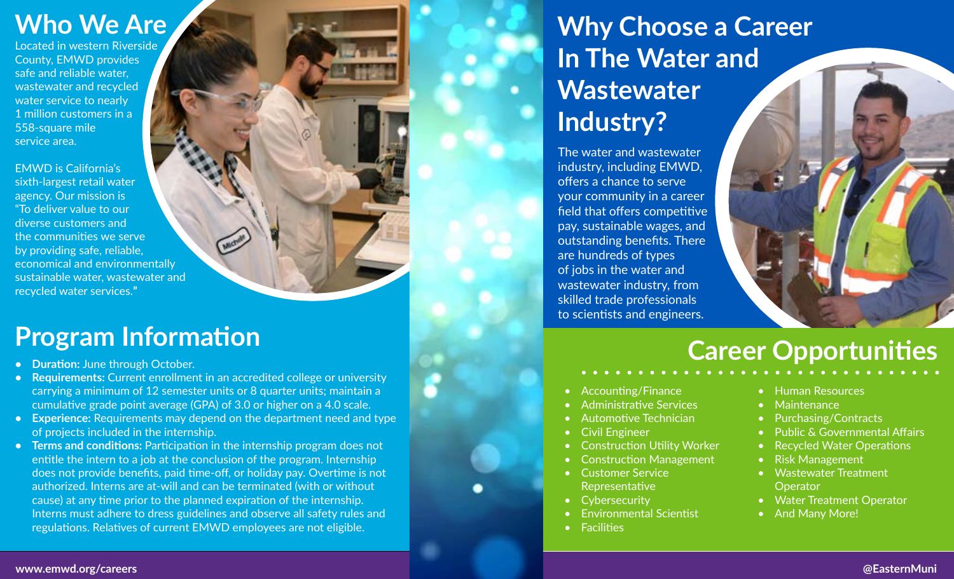Located in western Riverside County, EMWD provides safe and reliable water, wastewater and recycled water service to nearly 1 million customers in a 558-square mile service area.

EMWD is California's sixth-largest retail water agency. Our mission is "To deliver value to our diverse customers and the communities we serve by providing safe, reliable, economical and environmentally sustainable water, wastewater and recycled water services.**"**

## **Program Information**

- **• Duration:** June through October.
- **• Requirements:** Current enrollment in an accredited college or university carrying a minimum of 12 semester units or 8 quarter units; maintain a cumulative grade point average (GPA) of 3.0 or higher on a 4.0 scale.
- **• Experience:** Requirements may depend on the department need and type of projects included in the internship.
- **• Terms and conditions:** Participation in the internship program does not entitle the intern to a job at the conclusion of the program. Internship does not provide benefits, paid time-off, or holiday pay. Overtime is not authorized. Interns are at-will and can be terminated (with or without cause) at any time prior to the planned expiration of the internship. Interns must adhere to dress guidelines and observe all safety rules and regulations. Relatives of current EMWD employees are not eligible.

# **Who We Are All Construction Construction Career In The Water and Wastewater Industry?**

The water and wastewater industry, including EMWD, offers a chance to serve your community in a career field that offers competitive pay, sustainable wages, and outstanding benefits. There are hundreds of types of jobs in the water and wastewater industry, from skilled trade professionals to scientists and engineers.



- Accounting/Finance
- Administrative Services
- Automotive Technician
- Civil Engineer
- Construction Utility Worker
- Construction Management
	- Customer Service
- Representative
- Cybersecurity
- Environmental Scientist
- **Facilities**
- Human Resources
- Maintenance
- Purchasing/Contracts
- Public & Governmental Affairs
- Recycled Water Operations
- Risk Management
- Wastewater Treatment **Operator**
- Water Treatment Operator
- And Many More!